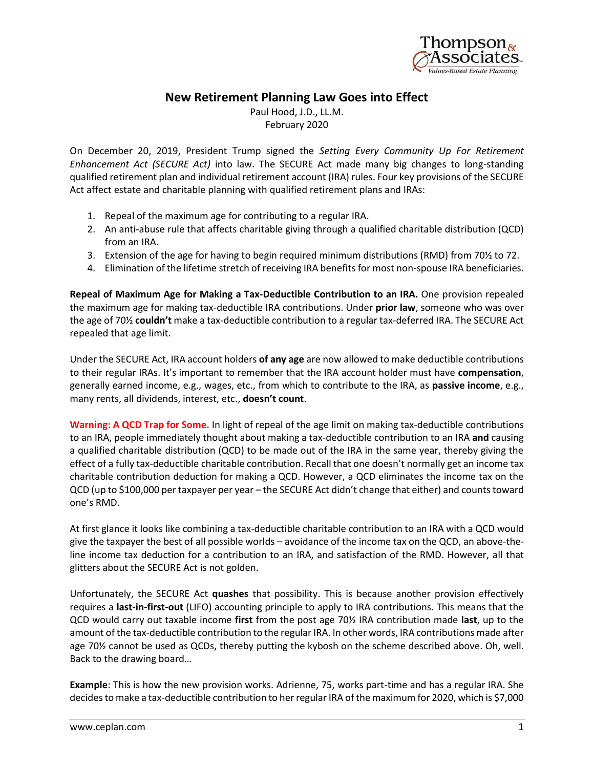

## **New Retirement Planning Law Goes into Effect**

Paul Hood, J.D., LL.M. February 2020

On December 20, 2019, President Trump signed the *Setting Every Community Up For Retirement Enhancement Act (SECURE Act)* into law. The SECURE Act made many big changes to long-standing qualified retirement plan and individual retirement account (IRA) rules. Four key provisions of the SECURE Act affect estate and charitable planning with qualified retirement plans and IRAs:

- 1. Repeal of the maximum age for contributing to a regular IRA.
- 2. An anti-abuse rule that affects charitable giving through a qualified charitable distribution (QCD) from an IRA.
- 3. Extension of the age for having to begin required minimum distributions (RMD) from 70½ to 72.
- 4. Elimination of the lifetime stretch of receiving IRA benefits for most non-spouse IRA beneficiaries.

**Repeal of Maximum Age for Making a Tax-Deductible Contribution to an IRA.** One provision repealed the maximum age for making tax-deductible IRA contributions. Under **prior law**, someone who was over the age of 70½ **couldn't** make a tax-deductible contribution to a regular tax-deferred IRA. The SECURE Act repealed that age limit.

Under the SECURE Act, IRA account holders **of any age** are now allowed to make deductible contributions to their regular IRAs. It's important to remember that the IRA account holder must have **compensation**, generally earned income, e.g., wages, etc., from which to contribute to the IRA, as **passive income**, e.g., many rents, all dividends, interest, etc., **doesn't count**.

**Warning: A QCD Trap for Some.** In light of repeal of the age limit on making tax-deductible contributions to an IRA, people immediately thought about making a tax-deductible contribution to an IRA **and** causing a qualified charitable distribution (QCD) to be made out of the IRA in the same year, thereby giving the effect of a fully tax-deductible charitable contribution. Recall that one doesn't normally get an income tax charitable contribution deduction for making a QCD. However, a QCD eliminates the income tax on the QCD (up to \$100,000 per taxpayer per year – the SECURE Act didn't change that either) and counts toward one's RMD.

At first glance it looks like combining a tax-deductible charitable contribution to an IRA with a QCD would give the taxpayer the best of all possible worlds – avoidance of the income tax on the QCD, an above-theline income tax deduction for a contribution to an IRA, and satisfaction of the RMD. However, all that glitters about the SECURE Act is not golden.

Unfortunately, the SECURE Act **quashes** that possibility. This is because another provision effectively requires a **last-in-first-out** (LIFO) accounting principle to apply to IRA contributions. This means that the QCD would carry out taxable income **first** from the post age 70½ IRA contribution made **last**, up to the amount of the tax-deductible contribution to the regular IRA. In other words, IRA contributions made after age 70½ cannot be used as QCDs, thereby putting the kybosh on the scheme described above. Oh, well. Back to the drawing board…

**Example**: This is how the new provision works. Adrienne, 75, works part-time and has a regular IRA. She decides to make a tax-deductible contribution to her regular IRA of the maximum for 2020, which is \$7,000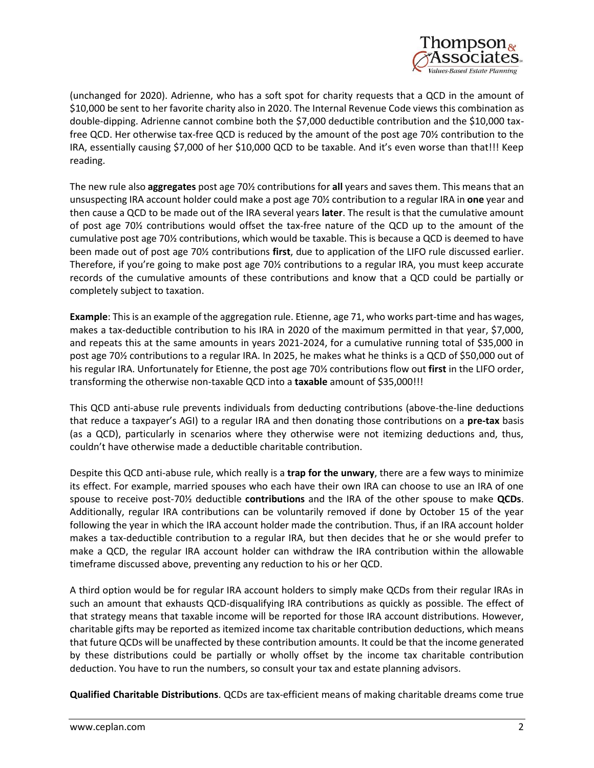

(unchanged for 2020). Adrienne, who has a soft spot for charity requests that a QCD in the amount of \$10,000 be sent to her favorite charity also in 2020. The Internal Revenue Code views this combination as double-dipping. Adrienne cannot combine both the \$7,000 deductible contribution and the \$10,000 taxfree QCD. Her otherwise tax-free QCD is reduced by the amount of the post age 70½ contribution to the IRA, essentially causing \$7,000 of her \$10,000 QCD to be taxable. And it's even worse than that!!! Keep reading.

The new rule also **aggregates** post age 70½ contributions for **all** years and saves them. This means that an unsuspecting IRA account holder could make a post age 70½ contribution to a regular IRA in **one** year and then cause a QCD to be made out of the IRA several years **later**. The result is that the cumulative amount of post age 70½ contributions would offset the tax-free nature of the QCD up to the amount of the cumulative post age 70½ contributions, which would be taxable. This is because a QCD is deemed to have been made out of post age 70½ contributions **first**, due to application of the LIFO rule discussed earlier. Therefore, if you're going to make post age 70½ contributions to a regular IRA, you must keep accurate records of the cumulative amounts of these contributions and know that a QCD could be partially or completely subject to taxation.

**Example**: This is an example of the aggregation rule. Etienne, age 71, who works part-time and has wages, makes a tax-deductible contribution to his IRA in 2020 of the maximum permitted in that year, \$7,000, and repeats this at the same amounts in years 2021-2024, for a cumulative running total of \$35,000 in post age 70½ contributions to a regular IRA. In 2025, he makes what he thinks is a QCD of \$50,000 out of his regular IRA. Unfortunately for Etienne, the post age 70½ contributions flow out **first** in the LIFO order, transforming the otherwise non-taxable QCD into a **taxable** amount of \$35,000!!!

This QCD anti-abuse rule prevents individuals from deducting contributions (above-the-line deductions that reduce a taxpayer's AGI) to a regular IRA and then donating those contributions on a **pre-tax** basis (as a QCD), particularly in scenarios where they otherwise were not itemizing deductions and, thus, couldn't have otherwise made a deductible charitable contribution.

Despite this QCD anti-abuse rule, which really is a **trap for the unwary**, there are a few ways to minimize its effect. For example, married spouses who each have their own IRA can choose to use an IRA of one spouse to receive post-70½ deductible **contributions** and the IRA of the other spouse to make **QCDs**. Additionally, regular IRA contributions can be voluntarily removed if done by October 15 of the year following the year in which the IRA account holder made the contribution. Thus, if an IRA account holder makes a tax-deductible contribution to a regular IRA, but then decides that he or she would prefer to make a QCD, the regular IRA account holder can withdraw the IRA contribution within the allowable timeframe discussed above, preventing any reduction to his or her QCD.

A third option would be for regular IRA account holders to simply make QCDs from their regular IRAs in such an amount that exhausts QCD-disqualifying IRA contributions as quickly as possible. The effect of that strategy means that taxable income will be reported for those IRA account distributions. However, charitable gifts may be reported as itemized income tax charitable contribution deductions, which means that future QCDs will be unaffected by these contribution amounts. It could be that the income generated by these distributions could be partially or wholly offset by the income tax charitable contribution deduction. You have to run the numbers, so consult your tax and estate planning advisors.

**Qualified Charitable Distributions**. QCDs are tax-efficient means of making charitable dreams come true